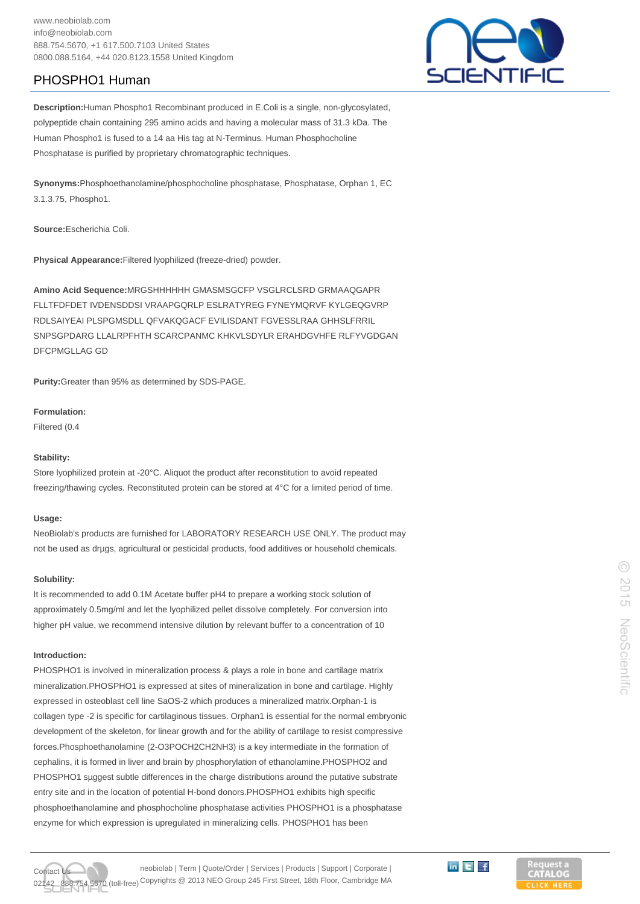# PHOSPHO1 Human



**Description:**Human Phospho1 Recombinant produced in E.Coli is a single, non-glycosylated, polypeptide chain containing 295 amino acids and having a molecular mass of 31.3 kDa. The Human Phospho1 is fused to a 14 aa His tag at N-Terminus. Human Phosphocholine Phosphatase is purified by proprietary chromatographic techniques.

**Synonyms:**Phosphoethanolamine/phosphocholine phosphatase, Phosphatase, Orphan 1, EC 3.1.3.75, Phospho1.

**Source:**Escherichia Coli.

**Physical Appearance:**Filtered lyophilized (freeze-dried) powder.

**Amino Acid Sequence:**MRGSHHHHHH GMASMSGCFP VSGLRCLSRD GRMAAQGAPR FLLTFDFDET IVDENSDDSI VRAAPGQRLP ESLRATYREG FYNEYMQRVF KYLGEQGVRP RDLSAIYEAI PLSPGMSDLL QFVAKQGACF EVILISDANT FGVESSLRAA GHHSLFRRIL SNPSGPDARG LLALRPFHTH SCARCPANMC KHKVLSDYLR ERAHDGVHFE RLFYVGDGAN DFCPMGLLAG GD

**Purity:**Greater than 95% as determined by SDS-PAGE.

**Formulation:**

Filtered (0.4

### **Stability:**

Store lyophilized protein at -20°C. Aliquot the product after reconstitution to avoid repeated freezing/thawing cycles. Reconstituted protein can be stored at 4°C for a limited period of time.

#### **Usage:**

NeoBiolab's products are furnished for LABORATORY RESEARCH USE ONLY. The product may not be used as drµgs, agricultural or pesticidal products, food additives or household chemicals.

#### **Solubility:**

It is recommended to add 0.1M Acetate buffer pH4 to prepare a working stock solution of approximately 0.5mg/ml and let the lyophilized pellet dissolve completely. For conversion into higher pH value, we recommend intensive dilution by relevant buffer to a concentration of 10

## **Introduction:**

PHOSPHO1 is involved in mineralization process & plays a role in bone and cartilage matrix mineralization.PHOSPHO1 is expressed at sites of mineralization in bone and cartilage. Highly expressed in osteoblast cell line SaOS-2 which produces a mineralized matrix.Orphan-1 is collagen type -2 is specific for cartilaginous tissues. Orphan1 is essential for the normal embryonic development of the skeleton, for linear growth and for the ability of cartilage to resist compressive forces.Phosphoethanolamine (2-O3POCH2CH2NH3) is a key intermediate in the formation of cephalins, it is formed in liver and brain by phosphorylation of ethanolamine.PHOSPHO2 and PHOSPHO1 suggest subtle differences in the charge distributions around the putative substrate entry site and in the location of potential H-bond donors.PHOSPHO1 exhibits high specific phosphoethanolamine and phosphocholine phosphatase activities PHOSPHO1 is a phosphatase enzyme for which expression is upregulated in mineralizing cells. PHOSPHO1 has been



neobiolab | Term | Quote/Order | Services | Products | Support | Corporate | 670 (toll-free) Copyrights @ 2013 NEO Group 245 First Street, 18th Floor, Cambridge MA